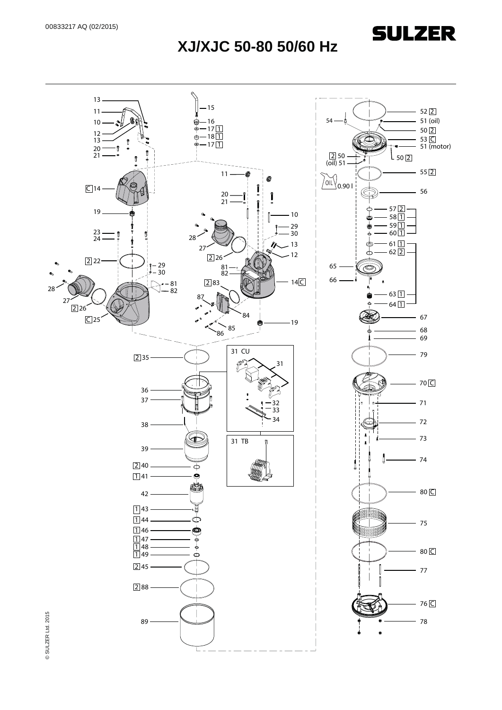

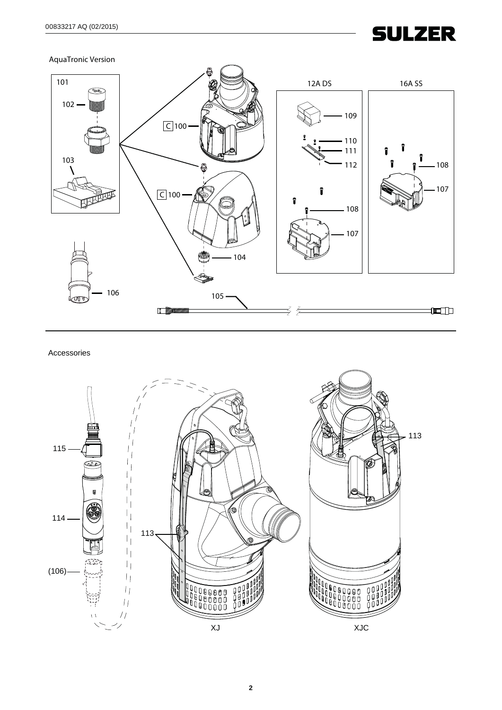AquaTronic Version



Accessories

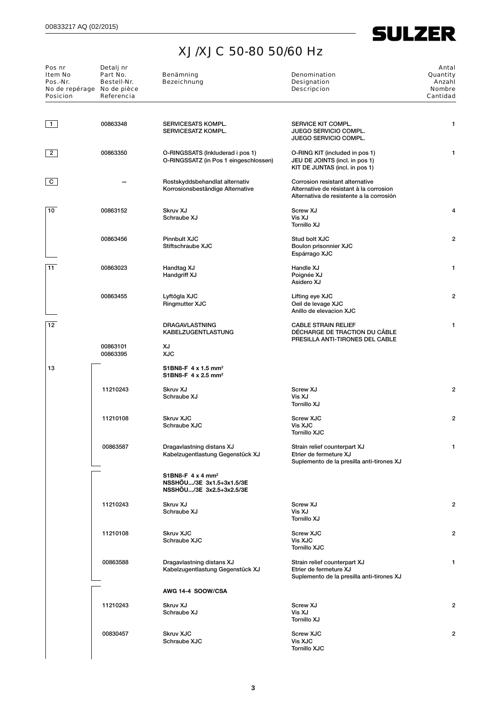

| Pos nr<br>Item No<br>Pos.-Nr.<br>No de repérage<br><b>Posicion</b> | Detalj nr<br>Part No.<br>Bestell-Nr.<br>No de pièce<br>Referencia | Benämning<br><b>Bezeichnung</b>                                                              | Denomination<br><b>Designation</b><br><b>Descripcion</b>                                                               | Antal<br>Quantity<br>Anzahl<br><b>Nombre</b><br>Cantidad |  |
|--------------------------------------------------------------------|-------------------------------------------------------------------|----------------------------------------------------------------------------------------------|------------------------------------------------------------------------------------------------------------------------|----------------------------------------------------------|--|
| 1                                                                  | 00863348                                                          | <b>SERVICESATS KOMPL.</b><br>SERVICESATZ KOMPL.                                              | SERVICE KIT COMPL.<br>JUEGO SERVICIO COMPL.<br><b>JUEGO SERVICIO COMPL.</b>                                            | 1                                                        |  |
| 2                                                                  | 00863350                                                          | O-RINGSSATS (Inkluderad i pos 1)<br>O-RINGSSATZ (in Pos 1 eingeschlossen)                    | O-RING KIT (included in pos 1)<br>JEU DE JOINTS (incl. in pos 1)<br>KIT DE JUNTAS (incl. in pos 1)                     | 1                                                        |  |
| $\mathbf{C}$                                                       |                                                                   | Rostskyddsbehandlat alternativ<br>Korrosionsbeständige Alternative                           | Corrosion resistant alternative<br>Alternative de résistant à la corrosion<br>Alternativa de resistente a la corrosión |                                                          |  |
| 10                                                                 | 00863152                                                          | Skruv XJ<br>Schraube XJ                                                                      | Screw XJ<br>Vis XJ<br>Tornillo XJ                                                                                      |                                                          |  |
|                                                                    | 00863456                                                          | Pinnbult XJC<br>Stiftschraube XJC                                                            | Stud bolt XJC<br>Boulon prisonnier XJC<br>Espárrago XJC                                                                |                                                          |  |
| 11                                                                 | 00863023                                                          | Handtag XJ<br>Handgriff XJ                                                                   | Handle XJ<br>Poignée XJ<br>Asidero XJ                                                                                  | 1                                                        |  |
|                                                                    | 00863455                                                          | Lyftögla XJC<br><b>Ringmutter XJC</b>                                                        | Lifting eye XJC<br>Oeil de levage XJC<br>Anillo de elevacion XJC                                                       | 2                                                        |  |
| 12                                                                 |                                                                   | DRAGAVLASTNING<br><b>KABELZUGENTLASTUNG</b>                                                  | <b>CABLE STRAIN RELIEF</b><br>DÉCHARGE DE TRACTION DU CÂBLE<br>PRESILLA ANTI-TIRONES DEL CABLE                         | 1                                                        |  |
|                                                                    | 00863101<br>00863395                                              | XJ<br><b>XJC</b>                                                                             |                                                                                                                        |                                                          |  |
| 13                                                                 |                                                                   | S1BN8-F 4 x 1.5 mm <sup>2</sup><br>S1BN8-F 4 x 2.5 mm <sup>2</sup>                           |                                                                                                                        |                                                          |  |
|                                                                    | 11210243                                                          | Skruv XJ<br>Schraube XJ                                                                      | Screw XJ<br>Vis XJ<br>Tornillo XJ                                                                                      | 2                                                        |  |
|                                                                    | 11210108                                                          | <b>Skruv XJC</b><br>Schraube XJC                                                             | <b>Screw XJC</b><br>Vis XJC<br><b>Tornillo XJC</b>                                                                     | 2                                                        |  |
|                                                                    | 00863587                                                          | Dragavlastning distans XJ<br>Kabelzugentlastung Gegenstück XJ                                | Strain relief counterpart XJ<br>Etrier de fermeture XJ<br>Suplemento de la presilla anti-tirones XJ                    | 1                                                        |  |
|                                                                    |                                                                   | S1BN8-F $4 \times 4$ mm <sup>2</sup><br>NSSHOU/3E 3x1.5+3x1.5/3E<br>NSSHOU/3E 3x2.5+3x2.5/3E |                                                                                                                        |                                                          |  |
|                                                                    | 11210243                                                          | Skruv XJ<br>Schraube XJ                                                                      | Screw XJ<br>Vis XJ<br>Tornillo XJ                                                                                      | ۶                                                        |  |
|                                                                    | 11210108                                                          | <b>Skruv XJC</b><br>Schraube XJC                                                             | <b>Screw XJC</b><br>Vis XJC<br><b>Tornillo XJC</b>                                                                     |                                                          |  |
|                                                                    | 00863588                                                          | Dragavlastning distans XJ<br>Kabelzugentlastung Gegenstück XJ                                | Strain relief counterpart XJ<br>Etrier de fermeture XJ<br>Suplemento de la presilla anti-tirones XJ                    |                                                          |  |
|                                                                    |                                                                   | AWG 14-4 SOOW/CSA                                                                            |                                                                                                                        |                                                          |  |
|                                                                    | 11210243                                                          | Skruv XJ<br>Schraube XJ                                                                      | Screw XJ<br>Vis XJ<br>Tornillo XJ                                                                                      | 2                                                        |  |
|                                                                    | 00830457                                                          | <b>Skruv XJC</b><br>Schraube XJC                                                             | <b>Screw XJC</b><br>Vis XJC<br><b>Tornillo XJC</b>                                                                     |                                                          |  |
|                                                                    |                                                                   |                                                                                              |                                                                                                                        |                                                          |  |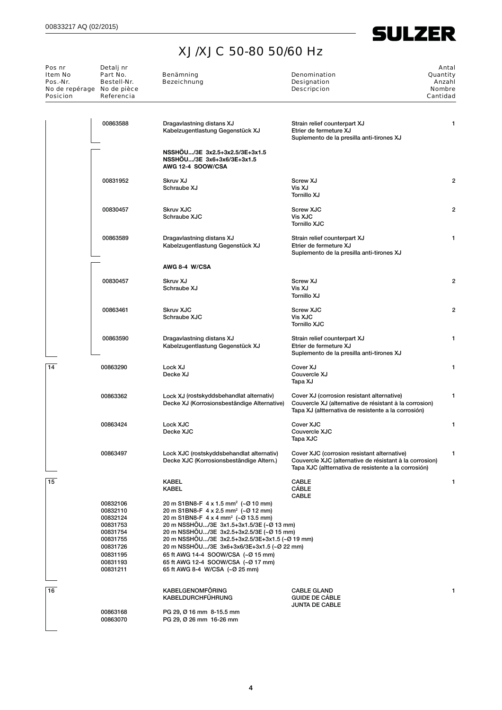

÷,

| Pos nr<br>Item No<br>Pos.-Nr.<br>No de repérage No de pièce<br><b>Posicion</b> | Detalj nr<br>Part No.<br>Bestell-Nr.<br>Referencia                                                                   | Benämning<br><b>Bezeichnung</b>                                                                                                                                                                                                                                                                                                                                                                                                                             | <b>Denomination</b><br>Designation<br><b>Descripcion</b>                                                                                                       | Antal<br>Quantity<br>Anzahl<br><b>Nombre</b><br>Cantidad |
|--------------------------------------------------------------------------------|----------------------------------------------------------------------------------------------------------------------|-------------------------------------------------------------------------------------------------------------------------------------------------------------------------------------------------------------------------------------------------------------------------------------------------------------------------------------------------------------------------------------------------------------------------------------------------------------|----------------------------------------------------------------------------------------------------------------------------------------------------------------|----------------------------------------------------------|
|                                                                                | 00863588                                                                                                             | Dragavlastning distans XJ<br>Kabelzugentlastung Gegenstück XJ                                                                                                                                                                                                                                                                                                                                                                                               | Strain relief counterpart XJ<br>Etrier de fermeture XJ<br>Suplemento de la presilla anti-tirones XJ                                                            | 1                                                        |
|                                                                                |                                                                                                                      | NSSHÖU/3E 3x2.5+3x2.5/3E+3x1.5<br>NSSHOU/3E 3x6+3x6/3E+3x1.5<br>AWG 12-4 SOOW/CSA                                                                                                                                                                                                                                                                                                                                                                           |                                                                                                                                                                |                                                          |
|                                                                                | 00831952                                                                                                             | Skruv XJ<br>Schraube XJ                                                                                                                                                                                                                                                                                                                                                                                                                                     | Screw XJ<br>Vis XJ<br>Tornillo XJ                                                                                                                              | 2                                                        |
|                                                                                | 00830457                                                                                                             | <b>Skruv XJC</b><br>Schraube XJC                                                                                                                                                                                                                                                                                                                                                                                                                            | <b>Screw XJC</b><br>Vis XJC<br><b>Tornillo XJC</b>                                                                                                             | 2                                                        |
|                                                                                | 00863589                                                                                                             | Dragavlastning distans XJ<br>Kabelzugentlastung Gegenstück XJ                                                                                                                                                                                                                                                                                                                                                                                               | Strain relief counterpart XJ<br>Etrier de fermeture XJ<br>Suplemento de la presilla anti-tirones XJ                                                            | 1                                                        |
|                                                                                |                                                                                                                      | AWG 8-4 W/CSA                                                                                                                                                                                                                                                                                                                                                                                                                                               |                                                                                                                                                                |                                                          |
|                                                                                | 00830457                                                                                                             | Skruv XJ<br>Schraube XJ                                                                                                                                                                                                                                                                                                                                                                                                                                     | Screw XJ<br>Vis XJ<br>Tornillo XJ                                                                                                                              | 2                                                        |
|                                                                                | 00863461                                                                                                             | <b>Skruv XJC</b><br>Schraube XJC                                                                                                                                                                                                                                                                                                                                                                                                                            | <b>Screw XJC</b><br>Vis XJC<br><b>Tornillo XJC</b>                                                                                                             | 2                                                        |
|                                                                                | 00863590                                                                                                             | Dragavlastning distans XJ<br>Kabelzugentlastung Gegenstück XJ                                                                                                                                                                                                                                                                                                                                                                                               | Strain relief counterpart XJ<br>Etrier de fermeture XJ<br>Suplemento de la presilla anti-tirones XJ                                                            | 1                                                        |
| 14                                                                             | 00863290                                                                                                             | Lock XJ<br>Decke XJ                                                                                                                                                                                                                                                                                                                                                                                                                                         | Cover XJ<br>Couvercle XJ<br>Tapa XJ                                                                                                                            | 1                                                        |
|                                                                                | 00863362                                                                                                             | Lock XJ (rostskyddsbehandlat alternativ)<br>Decke XJ (Korrosionsbeständige Alternative)                                                                                                                                                                                                                                                                                                                                                                     | Cover XJ (corrosion resistant alternative)<br>Couvercle XJ (alternative de résistant à la corrosion)<br>Tapa XJ (altternativa de resistente a la corrosión)    | $\mathbf{1}$                                             |
|                                                                                | 00863424                                                                                                             | Lock XJC<br>Decke XJC                                                                                                                                                                                                                                                                                                                                                                                                                                       | Cover XJC<br>Couvercle XJC<br>Tapa XJC                                                                                                                         | 1                                                        |
|                                                                                | 00863497                                                                                                             | Lock XJC (rostskyddsbehandlat alternativ)<br>Decke XJC (Korrosionsbeständige Altern.)                                                                                                                                                                                                                                                                                                                                                                       | Cover XJC (corrosion resistant alternative)<br>Couvercle XJC (alternative de résistant à la corrosion)<br>Tapa XJC (altternativa de resistente a la corrosión) | 1                                                        |
| 15                                                                             |                                                                                                                      | KABEL<br>KABEL                                                                                                                                                                                                                                                                                                                                                                                                                                              | CABLE<br>CABLE<br>CABLE                                                                                                                                        | 1                                                        |
|                                                                                | 00832106<br>00832110<br>00832124<br>00831753<br>00831754<br>00831755<br>00831726<br>00831195<br>00831193<br>00831211 | 20 m S1BN8-F 4 x 1.5 mm <sup>2</sup> (~Ø 10 mm)<br>20 m S1BN8-F 4 x 2.5 mm <sup>2</sup> (~Ø 12 mm)<br>20 m S1BN8-F 4 x 4 mm <sup>2</sup> (~Ø 13.5 mm)<br>20 m NSSHOU/3E 3x1.5+3x1.5/3E (~Ø 13 mm)<br>20 m NSSHOU/3E 3x2.5+3x2.5/3E (~Ø 15 mm)<br>20 m NSSHOU/3E 3x2.5+3x2.5/3E+3x1.5 (~Ø 19 mm)<br>20 m NSSHÖU/3E 3x6+3x6/3E+3x1.5 (~Ø 22 mm)<br>65 ft AWG 14-4 SOOW/CSA (~Ø 15 mm)<br>65 ft AWG 12-4 SOOW/CSA (~Ø 17 mm)<br>65 ft AWG 8-4 W/CSA (~Ø 25 mm) |                                                                                                                                                                |                                                          |
| 16                                                                             | 00863168                                                                                                             | KABELGENOMFÖRING<br><b>KABELDURCHFÜHRUNG</b><br>PG 29, Ø 16 mm 8-15.5 mm                                                                                                                                                                                                                                                                                                                                                                                    | <b>CABLE GLAND</b><br><b>GUIDE DE CABLE</b><br><b>JUNTA DE CABLE</b>                                                                                           |                                                          |
|                                                                                | 00863070                                                                                                             | PG 29, Ø 26 mm 16-26 mm                                                                                                                                                                                                                                                                                                                                                                                                                                     |                                                                                                                                                                |                                                          |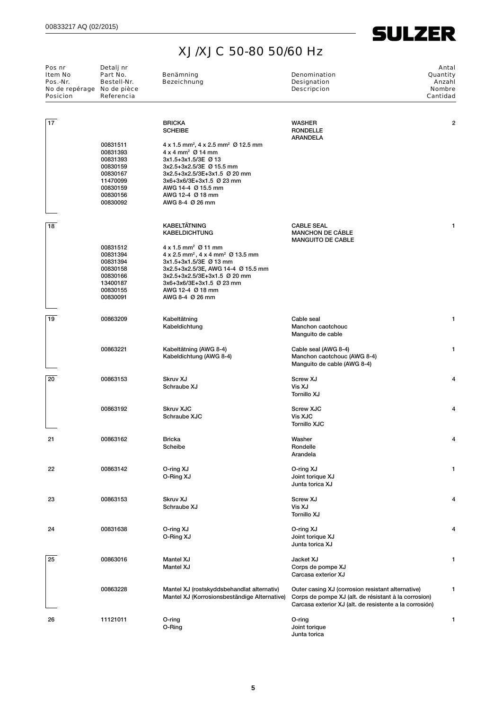

| Pos nr<br>Item No<br>Pos.-Nr.<br>No de repérage No de pièce<br><b>Posicion</b> | Detalj nr<br>Part No.<br>Bestell-Nr.<br>Referencia                                                       | Benämning<br><b>Bezeichnung</b>                                                                                                                                                                                                                                                                           | Denomination<br><b>Designation</b><br><b>Descripcion</b>                                                                                                             | Antal<br>Quantity<br>Anzahl<br><b>Nombre</b><br>Cantidad |
|--------------------------------------------------------------------------------|----------------------------------------------------------------------------------------------------------|-----------------------------------------------------------------------------------------------------------------------------------------------------------------------------------------------------------------------------------------------------------------------------------------------------------|----------------------------------------------------------------------------------------------------------------------------------------------------------------------|----------------------------------------------------------|
| 17                                                                             |                                                                                                          | <b>BRICKA</b><br><b>SCHEIBE</b>                                                                                                                                                                                                                                                                           | <b>WASHER</b><br><b>RONDELLE</b><br><b>ARANDELA</b>                                                                                                                  | $\overline{2}$                                           |
|                                                                                | 00831511<br>00831393<br>00831393<br>00830159<br>00830167<br>11470099<br>00830159<br>00830156<br>00830092 | $4 \times 1.5$ mm <sup>2</sup> , $4 \times 2.5$ mm <sup>2</sup> Ø 12.5 mm<br>$4 \times 4$ mm <sup>2</sup> $\varnothing$ 14 mm<br>3x1.5+3x1.5/3E Ø 13<br>3x2.5+3x2.5/3E Ø 15.5 mm<br>3x2.5+3x2.5/3E+3x1.5 Ø 20 mm<br>3x6+3x6/3E+3x1.5 Ø 23 mm<br>AWG 14-4 Ø 15.5 mm<br>AWG 12-4 Ø 18 mm<br>AWG 8-4 Ø 26 mm |                                                                                                                                                                      |                                                          |
| 18                                                                             |                                                                                                          | <b>KABELTÄTNING</b><br><b>KABELDICHTUNG</b>                                                                                                                                                                                                                                                               | <b>CABLE SEAL</b><br><b>MANCHON DE CÁBLE</b><br><b>MANGUITO DE CABLE</b>                                                                                             | 1                                                        |
|                                                                                | 00831512<br>00831394<br>00831394<br>00830158<br>00830166<br>13400187<br>00830155<br>00830091             | $4 \times 1.5$ mm <sup>2</sup> Ø 11 mm<br>4 x 2.5 mm <sup>2</sup> , 4 x 4 mm <sup>2</sup> Ø 13.5 mm<br>3x1.5+3x1.5/3E Ø 13 mm<br>3x2.5+3x2.5/3E, AWG 14-4 Ø 15.5 mm<br>3x2.5+3x2.5/3E+3x1.5 Ø 20 mm<br>3x6+3x6/3E+3x1.5 Ø 23 mm<br>AWG 12-4 Ø 18 mm<br>AWG 8-4 Ø 26 mm                                    |                                                                                                                                                                      |                                                          |
| 19                                                                             | 00863209                                                                                                 | Kabeltätning<br>Kabeldichtung                                                                                                                                                                                                                                                                             | Cable seal<br>Manchon caotchouc<br>Manguito de cable                                                                                                                 | 1                                                        |
|                                                                                | 00863221                                                                                                 | Kabeltätning (AWG 8-4)<br>Kabeldichtung (AWG 8-4)                                                                                                                                                                                                                                                         | Cable seal (AWG 8-4)<br>Manchon caotchouc (AWG 8-4)<br>Manguito de cable (AWG 8-4)                                                                                   | 1                                                        |
| 20                                                                             | 00863153                                                                                                 | Skruv XJ<br>Schraube XJ                                                                                                                                                                                                                                                                                   | Screw XJ<br>Vis XJ<br>Tornillo XJ                                                                                                                                    | 4                                                        |
|                                                                                | 00863192                                                                                                 | <b>Skruv XJC</b><br>Schraube XJC                                                                                                                                                                                                                                                                          | <b>Screw XJC</b><br>Vis XJC<br><b>Tornillo XJC</b>                                                                                                                   | 4                                                        |
| 21                                                                             | 00863162                                                                                                 | <b>Bricka</b><br>Scheibe                                                                                                                                                                                                                                                                                  | Washer<br>Rondelle<br>Arandela                                                                                                                                       | 4                                                        |
| 22                                                                             | 00863142                                                                                                 | O-ring XJ<br>O-Ring XJ                                                                                                                                                                                                                                                                                    | O-ring XJ<br>Joint torique XJ<br>Junta torica XJ                                                                                                                     | 1                                                        |
| 23                                                                             | 00863153                                                                                                 | Skruv XJ<br>Schraube XJ                                                                                                                                                                                                                                                                                   | Screw XJ<br>Vis XJ<br>Tornillo XJ                                                                                                                                    | 4                                                        |
| 24                                                                             | 00831638                                                                                                 | O-ring XJ<br>O-Ring XJ                                                                                                                                                                                                                                                                                    | O-ring XJ<br>Joint torique XJ<br>Junta torica XJ                                                                                                                     | 4                                                        |
| 25                                                                             | 00863016                                                                                                 | <b>Mantel XJ</b><br>Mantel XJ                                                                                                                                                                                                                                                                             | Jacket XJ<br>Corps de pompe XJ<br>Carcasa exterior XJ                                                                                                                | 1                                                        |
|                                                                                | 00863228                                                                                                 | Mantel XJ (rostskyddsbehandlat alternativ)<br>Mantel XJ (Korrosionsbeständige Alternative)                                                                                                                                                                                                                | Outer casing XJ (corrosion resistant alternative)<br>Corps de pompe XJ (alt. de résistant à la corrosion)<br>Carcasa exterior XJ (alt. de resistente a la corrosión) | 1                                                        |
| 26                                                                             | 11121011                                                                                                 | O-ring<br>O-Ring                                                                                                                                                                                                                                                                                          | O-ring<br>Joint torique<br>Junta torica                                                                                                                              | 1                                                        |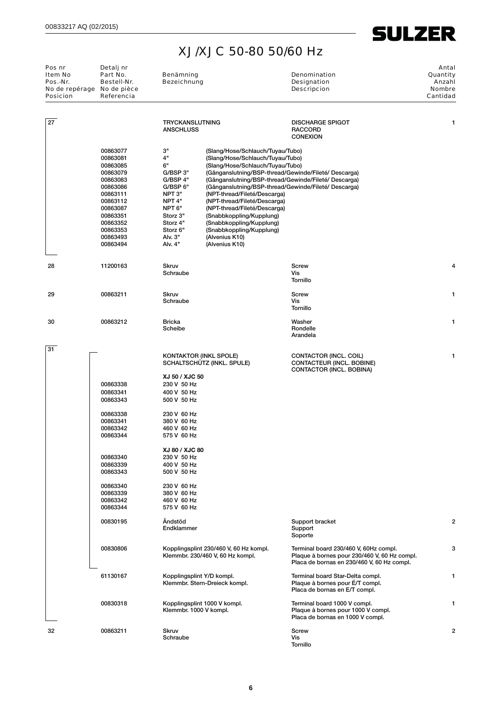

| Pos nr<br>Item No<br>Pos.-Nr.<br>No de repérage No de pièce<br><b>Posicion</b> | Detalj nr<br>Part No.<br>Benämning<br>Bestell-Nr.<br><b>Bezeichnung</b><br>Referencia                                                                                |                                                                                                                                                         |                                                                                                                                                                                                                                                                                                                                                                                                                                                                                                          | Denomination<br>Designation<br><b>Descripcion</b>                                                                                   | Antal<br>Quantity<br>Anzahl<br><b>Nombre</b><br>Cantidad |  |
|--------------------------------------------------------------------------------|----------------------------------------------------------------------------------------------------------------------------------------------------------------------|---------------------------------------------------------------------------------------------------------------------------------------------------------|----------------------------------------------------------------------------------------------------------------------------------------------------------------------------------------------------------------------------------------------------------------------------------------------------------------------------------------------------------------------------------------------------------------------------------------------------------------------------------------------------------|-------------------------------------------------------------------------------------------------------------------------------------|----------------------------------------------------------|--|
| 27                                                                             |                                                                                                                                                                      | <b>TRYCKANSLUTNING</b><br><b>ANSCHLUSS</b>                                                                                                              |                                                                                                                                                                                                                                                                                                                                                                                                                                                                                                          | <b>DISCHARGE SPIGOT</b><br><b>RACCORD</b><br><b>CONEXION</b>                                                                        | 1                                                        |  |
|                                                                                | 00863077<br>00863081<br>00863085<br>00863079<br>00863083<br>00863086<br>00863111<br>00863112<br>00863087<br>00863351<br>00863352<br>00863353<br>00863493<br>00863494 | $3"$<br>4"<br>6"<br>G/BSP 3"<br>G/BSP 4"<br>G/BSP 6"<br>NPT 3"<br>NPT 4"<br>NPT <sub>6"</sub><br>Storz 3"<br>Storz 4"<br>Storz 6"<br>Alv. 3"<br>Alv. 4" | (Slang/Hose/Schlauch/Tuyau/Tubo)<br>(Slang/Hose/Schlauch/Tuyau/Tubo)<br>(Slang/Hose/Schlauch/Tuyau/Tubo)<br>(Gänganslutning/BSP-thread/Gewinde/Fileté/ Descarga)<br>(Gänganslutning/BSP-thread/Gewinde/Fileté/ Descarga)<br>(Gänganslutning/BSP-thread/Gewinde/Fileté/ Descarga)<br>(NPT-thread/Fileté/Descarga)<br>(NPT-thread/Fileté/Descarga)<br>(NPT-thread/Fileté/Descarga)<br>(Snabbkoppling/Kupplung)<br>(Snabbkoppling/Kupplung)<br>(Snabbkoppling/Kupplung)<br>(Alvenius K10)<br>(Alvenius K10) |                                                                                                                                     |                                                          |  |
| 28                                                                             | 11200163                                                                                                                                                             | <b>Skruv</b><br>Schraube                                                                                                                                |                                                                                                                                                                                                                                                                                                                                                                                                                                                                                                          | Screw<br>Vis<br>Tornillo                                                                                                            | 4                                                        |  |
| 29                                                                             | 00863211                                                                                                                                                             | <b>Skruv</b><br>Schraube                                                                                                                                |                                                                                                                                                                                                                                                                                                                                                                                                                                                                                                          | Screw<br>Vis<br>Tornillo                                                                                                            | 1                                                        |  |
| 30                                                                             | 00863212                                                                                                                                                             | <b>Bricka</b><br>Scheibe                                                                                                                                |                                                                                                                                                                                                                                                                                                                                                                                                                                                                                                          | Washer<br>Rondelle<br>Arandela                                                                                                      | 1                                                        |  |
| 31                                                                             |                                                                                                                                                                      |                                                                                                                                                         | KONTAKTOR (INKL SPOLE)<br>SCHALTSCHÜTZ (INKL. SPULE)                                                                                                                                                                                                                                                                                                                                                                                                                                                     | CONTACTOR (INCL. COIL)<br>CONTACTEUR (INCL. BOBINE)<br>CONTACTOR (INCL. BOBINA)                                                     | 1                                                        |  |
|                                                                                | 00863338<br>00863341<br>00863343                                                                                                                                     | XJ 50 / XJC 50<br>230 V 50 Hz<br>400 V 50 Hz<br>500 V 50 Hz                                                                                             |                                                                                                                                                                                                                                                                                                                                                                                                                                                                                                          |                                                                                                                                     |                                                          |  |
|                                                                                | 00863338<br>00863341<br>00863342<br>00863344                                                                                                                         | 230 V 60 Hz<br>380 V 60 Hz<br>460 V 60 Hz<br>575 V 60 Hz                                                                                                |                                                                                                                                                                                                                                                                                                                                                                                                                                                                                                          |                                                                                                                                     |                                                          |  |
|                                                                                | 00863340<br>00863339<br>00863343                                                                                                                                     | XJ 80 / XJC 80<br>230 V 50 Hz<br>400 V 50 Hz<br>500 V 50 Hz                                                                                             |                                                                                                                                                                                                                                                                                                                                                                                                                                                                                                          |                                                                                                                                     |                                                          |  |
|                                                                                | 00863340<br>00863339<br>00863342<br>00863344                                                                                                                         | 230 V 60 Hz<br>380 V 60 Hz<br>460 V 60 Hz<br>575 V 60 Hz                                                                                                |                                                                                                                                                                                                                                                                                                                                                                                                                                                                                                          |                                                                                                                                     |                                                          |  |
|                                                                                | 00830195                                                                                                                                                             | Ändstöd<br>Endklammer                                                                                                                                   |                                                                                                                                                                                                                                                                                                                                                                                                                                                                                                          | Support bracket<br>Support<br>Soporte                                                                                               | 2                                                        |  |
|                                                                                | 00830806                                                                                                                                                             |                                                                                                                                                         | Kopplingsplint 230/460 V, 60 Hz kompl.<br>Klemmbr. 230/460 V, 60 Hz kompl.                                                                                                                                                                                                                                                                                                                                                                                                                               | Terminal board 230/460 V, 60Hz compl.<br>Plaque à bornes pour 230/460 V, 60 Hz compl.<br>Placa de bornas en 230/460 V, 60 Hz compl. | 3                                                        |  |
|                                                                                | 61130167                                                                                                                                                             | Kopplingsplint Y/D kompl.                                                                                                                               | Klemmbr. Stern-Dreieck kompl.                                                                                                                                                                                                                                                                                                                                                                                                                                                                            | Terminal board Star-Delta compl.<br>Plaque à bornes pour É/T compl.<br>Placa de bornas en E/T compl.                                | 1                                                        |  |
|                                                                                | 00830318                                                                                                                                                             | Klemmbr. 1000 V kompl.                                                                                                                                  | Kopplingsplint 1000 V kompl.                                                                                                                                                                                                                                                                                                                                                                                                                                                                             | Terminal board 1000 V compl.<br>Plaque à bornes pour 1000 V compl.<br>Placa de bornas en 1000 V compl.                              | 1                                                        |  |
| 32                                                                             | 00863211                                                                                                                                                             | <b>Skruv</b><br>Schraube                                                                                                                                |                                                                                                                                                                                                                                                                                                                                                                                                                                                                                                          | Screw<br>Vis<br>Tornillo                                                                                                            | $\overline{2}$                                           |  |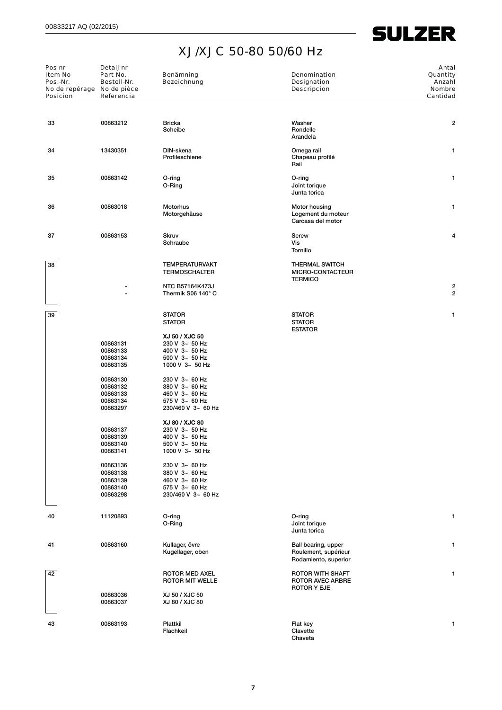| Pos nr<br>Detalj nr<br>Item No<br>Part No.<br>Pos.-Nr.<br>Bestell-Nr.<br>No de repérage No de pièce<br><b>Posicion</b><br>Referencia |                                                          | Benämning<br><b>Bezeichnung</b>                                                               | Denomination<br><b>Designation</b><br><b>Descripcion</b>                 | Antal<br>Quantity<br>Anzahl<br><b>Nombre</b><br>Cantidad |  |
|--------------------------------------------------------------------------------------------------------------------------------------|----------------------------------------------------------|-----------------------------------------------------------------------------------------------|--------------------------------------------------------------------------|----------------------------------------------------------|--|
| 33                                                                                                                                   | 00863212                                                 | <b>Bricka</b><br>Scheibe                                                                      | Washer<br>Rondelle<br>Arandela                                           | 2                                                        |  |
| 34                                                                                                                                   | 13430351                                                 | DIN-skena<br>Profileschiene                                                                   | Omega rail<br>Chapeau profilé<br>Rail                                    | $\mathbf{1}$                                             |  |
| 35                                                                                                                                   | 00863142                                                 | O-ring<br>O-Ring                                                                              | O-ring<br>Joint torique<br>Junta torica                                  | $\mathbf{1}$                                             |  |
| 36                                                                                                                                   | 00863018                                                 | Motorhus<br>Motorgehäuse                                                                      | Motor housing<br>Logement du moteur<br>Carcasa del motor                 | 1                                                        |  |
| 37                                                                                                                                   | 00863153                                                 | <b>Skruv</b><br>Schraube                                                                      | Screw<br>Vis<br>Tornillo                                                 | 4                                                        |  |
| 38                                                                                                                                   |                                                          | <b>TEMPERATURVAKT</b><br><b>TERMOSCHALTER</b><br><b>NTC B57164K473J</b>                       | <b>THERMAL SWITCH</b><br>MICRO-CONTACTEUR<br><b>TERMICO</b>              | 2                                                        |  |
|                                                                                                                                      |                                                          | Thermik S06 140° C                                                                            |                                                                          | 2                                                        |  |
| 39                                                                                                                                   |                                                          | <b>STATOR</b><br><b>STATOR</b>                                                                | <b>STATOR</b><br><b>STATOR</b><br><b>ESTATOR</b>                         | 1                                                        |  |
|                                                                                                                                      | 00863131<br>00863133<br>00863134<br>00863135             | XJ 50 / XJC 50<br>230 V 3~ 50 Hz<br>400 V 3~ 50 Hz<br>$500$ V $3-50$ Hz<br>1000 V $3 - 50$ Hz |                                                                          |                                                          |  |
|                                                                                                                                      | 00863130<br>00863132<br>00863133<br>00863134<br>00863297 | 230 V 3~ 60 Hz<br>380 V 3~ 60 Hz<br>460 V 3~ 60 Hz<br>575 V 3~ 60 Hz<br>230/460 V 3~ 60 Hz    |                                                                          |                                                          |  |
|                                                                                                                                      | 00863137<br>00863139<br>00863140<br>00863141             | XJ 80 / XJC 80<br>230 V 3~ 50 Hz<br>400 V 3~ 50 Hz<br>500 V 3~ 50 Hz<br>1000 V 3~ 50 Hz       |                                                                          |                                                          |  |
|                                                                                                                                      | 00863136<br>00863138<br>00863139<br>00863140<br>00863298 | 230 V 3~ 60 Hz<br>380 V 3~ 60 Hz<br>460 V 3~ 60 Hz<br>575 V 3~ 60 Hz<br>230/460 V 3~ 60 Hz    |                                                                          |                                                          |  |
| 40                                                                                                                                   | 11120893                                                 | O-ring<br>O-Ring                                                                              | O-ring<br>Joint torique<br>Junta torica                                  | 1                                                        |  |
| 41                                                                                                                                   | 00863160                                                 | Kullager, övre<br>Kugellager, oben                                                            | Ball bearing, upper<br>Roulement, supérieur<br>Rodamiento, superior      | 1                                                        |  |
| 42                                                                                                                                   |                                                          | ROTOR MED AXEL<br><b>ROTOR MIT WELLE</b>                                                      | <b>ROTOR WITH SHAFT</b><br><b>ROTOR AVEC ARBRE</b><br><b>ROTOR Y EJE</b> | 1                                                        |  |
|                                                                                                                                      | 00863036<br>00863037                                     | XJ 50 / XJC 50<br>XJ 80 / XJC 80                                                              |                                                                          |                                                          |  |
| 43                                                                                                                                   | 00863193                                                 | Plattkil<br>Flachkeil                                                                         | Flat key<br>Clavette<br>Chaveta                                          | 1                                                        |  |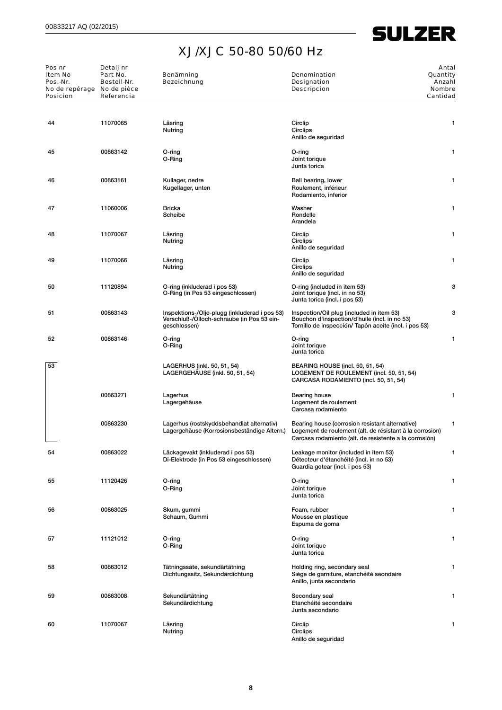$\overline{\phantom{0}}$ 

| Pos nr<br>Item No<br>Pos.-Nr.<br>No de repérage No de pièce<br><b>Posicion</b> | Detalj nr<br>Part No.<br>Bestell-Nr.<br>Referencia | Benämning<br><b>Bezeichnung</b>                                                                             | <b>Denomination</b><br><b>Designation</b><br><b>Descripcion</b>                                                                                                       | Antal<br>Quantity<br>Anzahl<br><b>Nombre</b><br>Cantidad |
|--------------------------------------------------------------------------------|----------------------------------------------------|-------------------------------------------------------------------------------------------------------------|-----------------------------------------------------------------------------------------------------------------------------------------------------------------------|----------------------------------------------------------|
| 44                                                                             | 11070065                                           | Låsring<br>Nutring                                                                                          | Circlip<br>Circlips<br>Anillo de seguridad                                                                                                                            | 1                                                        |
| 45                                                                             | 00863142                                           | O-ring<br>O-Ring                                                                                            | O-ring<br>Joint torique<br>Junta torica                                                                                                                               | 1                                                        |
| 46                                                                             | 00863161                                           | Kullager, nedre<br>Kugellager, unten                                                                        | Ball bearing, lower<br>Roulement, inférieur<br>Rodamiento, inferior                                                                                                   | 1                                                        |
| 47                                                                             | 11060006                                           | <b>Bricka</b><br>Scheibe                                                                                    | Washer<br>Rondelle<br>Arandela                                                                                                                                        | 1                                                        |
| 48                                                                             | 11070067                                           | Låsring<br>Nutring                                                                                          | Circlip<br>Circlips<br>Anillo de seguridad                                                                                                                            | 1                                                        |
| 49                                                                             | 11070066                                           | Låsring<br>Nutring                                                                                          | Circlip<br>Circlips<br>Anillo de seguridad                                                                                                                            | 1                                                        |
| 50                                                                             | 11120894                                           | O-ring (inkluderad i pos 53)<br>O-Ring (in Pos 53 eingeschlossen)                                           | O-ring (included in item 53)<br>Joint torique (incl. in no 53)<br>Junta torica (incl. i pos 53)                                                                       | 3                                                        |
| 51                                                                             | 00863143                                           | Inspektions-/Olje-plugg (inkluderad i pos 53)<br>Verschluß-/Ölloch-schraube (in Pos 53 ein-<br>geschlossen) | Inspection/Oil plug (included in item 53)<br>Bouchon d'inspection/d'huile (incl. in no 53)<br>Tornillo de inspección/ Tapón aceite (incl. i pos 53)                   | 3                                                        |
| 52                                                                             | 00863146                                           | O-ring<br>O-Ring                                                                                            | O-ring<br>Joint torique<br>Junta torica                                                                                                                               | 1                                                        |
| 53                                                                             |                                                    | LAGERHUS (inkl. 50, 51, 54)<br>LAGERGEHÄUSE (inkl. 50, 51, 54)                                              | BEARING HOUSE (incl. 50, 51, 54)<br>LOGEMENT DE ROULEMENT (incl. 50, 51, 54)<br>CARCASA RODAMIENTO (incl. 50, 51, 54)                                                 |                                                          |
|                                                                                | 00863271                                           | Lagerhus<br>Lagergehäuse                                                                                    | Bearing house<br>Logement de roulement<br>Carcasa rodamiento                                                                                                          | 1                                                        |
|                                                                                | 00863230                                           | Lagerhus (rostskyddsbehandlat alternativ)<br>Lagergehäuse (Korrosionsbeständige Altern.)                    | Bearing house (corrosion resistant alternative)<br>Logement de roulement (alt. de résistant à la corrosion)<br>Carcasa rodamiento (alt. de resistente a la corrosión) | 1                                                        |
| 54                                                                             | 00863022                                           | Läckagevakt (inkluderad i pos 53)<br>Di-Elektrode (in Pos 53 eingeschlossen)                                | Leakage monitor (included in item 53)<br>Détecteur d'étanchéité (incl. in no 53)<br>Guardia gotear (incl. i pos 53)                                                   | $\mathbf{1}$                                             |
| 55                                                                             | 11120426                                           | O-ring<br>O-Ring                                                                                            | O-ring<br>Joint torique<br>Junta torica                                                                                                                               | 1                                                        |
| 56                                                                             | 00863025                                           | Skum, gummi<br>Schaum, Gummi                                                                                | Foam, rubber<br>Mousse en plastique<br>Espuma de goma                                                                                                                 | 1                                                        |
| 57                                                                             | 11121012                                           | O-ring<br>O-Ring                                                                                            | O-ring<br>Joint torique<br>Junta torica                                                                                                                               | 1                                                        |
| 58                                                                             | 00863012                                           | Tätningssäte, sekundärtätning<br>Dichtungssitz, Sekundärdichtung                                            | Holding ring, secondary seal<br>Siège de garniture, etanchéité seondaire<br>Anillo, junta secondario                                                                  | 1                                                        |
| 59                                                                             | 00863008                                           | Sekundärtätning<br>Sekundärdichtung                                                                         | Secondary seal<br>Etanchéité secondaire<br>Junta secondario                                                                                                           | 1                                                        |
| 60                                                                             | 11070067                                           | Låsring<br>Nutring                                                                                          | Circlip<br>Circlips<br>Anillo de seguridad                                                                                                                            | 1                                                        |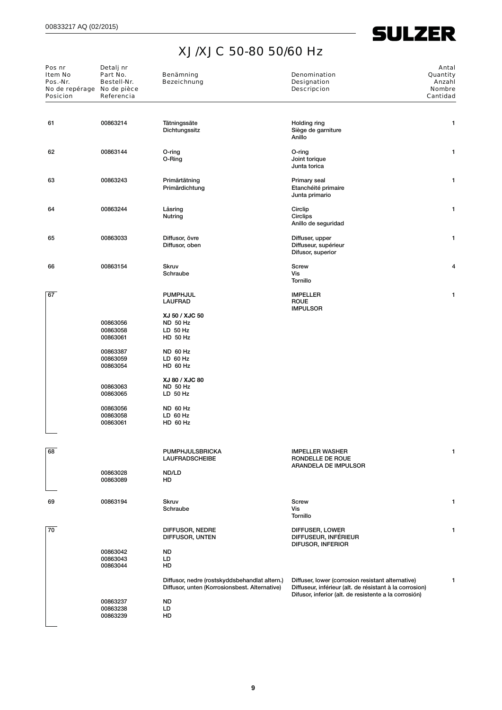| Pos nr<br>Item No<br>Pos.-Nr.<br>No de repérage No de pièce<br><b>Posicion</b> | Detalj nr<br>Part No.<br>Bestell-Nr.<br>Referencia | Benämning<br>Bezeichnung                                                                       | <b>Denomination</b><br>Designation<br><b>Descripcion</b>                                                                                                              | Antal<br>Quantity<br>Anzahl<br><b>Nombre</b><br>Cantidad |
|--------------------------------------------------------------------------------|----------------------------------------------------|------------------------------------------------------------------------------------------------|-----------------------------------------------------------------------------------------------------------------------------------------------------------------------|----------------------------------------------------------|
| 61                                                                             | 00863214                                           | Tätningssäte<br>Dichtungssitz                                                                  | Holding ring<br>Siège de garniture<br>Anillo                                                                                                                          | 1                                                        |
| 62                                                                             | 00863144                                           | O-ring<br>O-Ring                                                                               | O-ring<br>Joint torique<br>Junta torica                                                                                                                               | 1                                                        |
| 63                                                                             | 00863243                                           | Primärtätning<br>Primärdichtung                                                                | Primary seal<br>Etanchéité primaire<br>Junta primario                                                                                                                 | 1                                                        |
| 64                                                                             | 00863244                                           | Låsring<br>Nutring                                                                             | Circlip<br>Circlips<br>Anillo de seguridad                                                                                                                            | 1                                                        |
| 65                                                                             | 00863033                                           | Diffusor, övre<br>Diffusor, oben                                                               | Diffuser, upper<br>Diffuseur, supérieur<br>Difusor, superior                                                                                                          | 1                                                        |
| 66                                                                             | 00863154                                           | Skruv<br>Schraube                                                                              | <b>Screw</b><br>Vis<br>Tornillo                                                                                                                                       | 4                                                        |
| 67                                                                             |                                                    | <b>PUMPHJUL</b><br><b>LAUFRAD</b><br>XJ 50 / XJC 50                                            | <b>IMPELLER</b><br><b>ROUE</b><br><b>IMPULSOR</b>                                                                                                                     | 1                                                        |
|                                                                                | 00863056<br>00863058<br>00863061                   | <b>ND 50 Hz</b><br>$LD$ 50 Hz<br>HD 50 Hz                                                      |                                                                                                                                                                       |                                                          |
|                                                                                | 00863387<br>00863059<br>00863054                   | <b>ND 60 Hz</b><br>$LD$ 60 Hz<br>HD 60 Hz                                                      |                                                                                                                                                                       |                                                          |
|                                                                                | 00863063<br>00863065                               | XJ 80 / XJC 80<br><b>ND 50 Hz</b><br>$LD$ 50 Hz                                                |                                                                                                                                                                       |                                                          |
|                                                                                | 00863056<br>00863058<br>00863061                   | <b>ND 60 Hz</b><br>LD 60 Hz<br>HD 60 Hz                                                        |                                                                                                                                                                       |                                                          |
|                                                                                |                                                    |                                                                                                |                                                                                                                                                                       |                                                          |
| 68                                                                             |                                                    | PUMPHJULSBRICKA<br><b>LAUFRADSCHEIBE</b>                                                       | <b>IMPELLER WASHER</b><br>RONDELLE DE ROUE<br>ARANDELA DE IMPULSOR                                                                                                    | 1                                                        |
|                                                                                | 00863028<br>00863089                               | ND/LD<br>HD                                                                                    |                                                                                                                                                                       |                                                          |
| 69                                                                             | 00863194                                           | Skruv<br>Schraube                                                                              | <b>Screw</b><br>Vis<br>Tornillo                                                                                                                                       | 1                                                        |
| 70                                                                             |                                                    | DIFFUSOR, NEDRE<br>DIFFUSOR, UNTEN                                                             | DIFFUSER, LOWER<br>DIFFUSEUR, INFÉRIEUR<br>DIFUSOR, INFERIOR                                                                                                          |                                                          |
|                                                                                | 00863042<br>00863043<br>00863044                   | <b>ND</b><br>LD<br>HD                                                                          |                                                                                                                                                                       |                                                          |
|                                                                                |                                                    | Diffusor, nedre (rostskyddsbehandlat altern.)<br>Diffusor, unten (Korrosionsbest. Alternative) | Diffuser, lower (corrosion resistant alternative)<br>Diffuseur, inférieur (alt. de résistant à la corrosion)<br>Difusor, inferior (alt. de resistente a la corrosión) | 1                                                        |
|                                                                                | 00863237<br>00863238<br>00863239                   | <b>ND</b><br>LD<br>HD                                                                          |                                                                                                                                                                       |                                                          |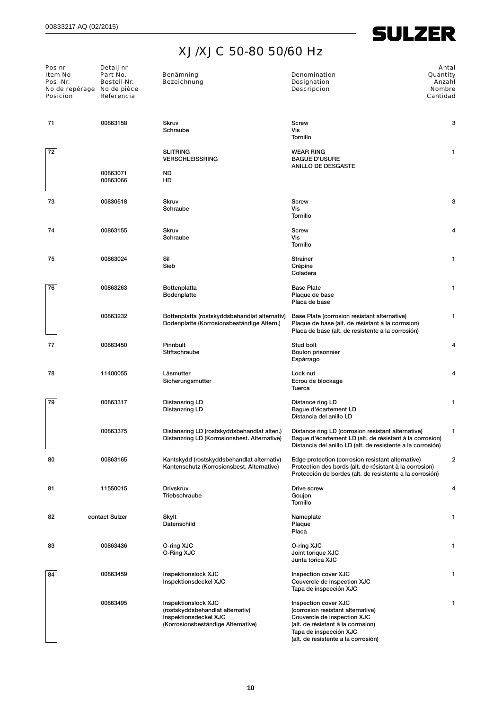| Pos nr<br>Item No<br>Pos.-Nr.<br>No de repérage No de pièce<br><b>Posicion</b> | Detalj nr<br>Part No.<br>Bestell-Nr.<br>Referencia | Benämning<br><b>Bezeichnung</b>                                                                                        | <b>Denomination</b><br><b>Designation</b><br><b>Descripcion</b>                                                                                                                                 | Antal<br>Quantity<br>Anzahl<br><b>Nombre</b><br>Cantidad |
|--------------------------------------------------------------------------------|----------------------------------------------------|------------------------------------------------------------------------------------------------------------------------|-------------------------------------------------------------------------------------------------------------------------------------------------------------------------------------------------|----------------------------------------------------------|
|                                                                                |                                                    |                                                                                                                        |                                                                                                                                                                                                 |                                                          |
| 71                                                                             | 00863158                                           | <b>Skruv</b><br>Schraube                                                                                               | Screw<br>Vis<br>Tornillo                                                                                                                                                                        | 3                                                        |
| 72                                                                             |                                                    | <b>SLITRING</b><br><b>VERSCHLEISSRING</b>                                                                              | <b>WEAR RING</b><br><b>BAGUE D'USURE</b><br><b>ANILLO DE DESGASTE</b>                                                                                                                           | 1                                                        |
|                                                                                | 00863071<br>00863066                               | <b>ND</b><br>HD                                                                                                        |                                                                                                                                                                                                 |                                                          |
| 73                                                                             | 00830518                                           | <b>Skruv</b><br>Schraube                                                                                               | Screw<br>Vis<br><b>Tornillo</b>                                                                                                                                                                 | 3                                                        |
| 74                                                                             | 00863155                                           | <b>Skruv</b><br>Schraube                                                                                               | <b>Screw</b><br>Vis<br><b>Tornillo</b>                                                                                                                                                          | 4                                                        |
| 75                                                                             | 00863024                                           | Sil<br>Sieb                                                                                                            | <b>Strainer</b><br>Crépine<br>Coladera                                                                                                                                                          | 1                                                        |
| 76                                                                             | 00863263                                           | Bottenplatta<br>Bodenplatte                                                                                            | <b>Base Plate</b><br>Plaque de base<br>Placa de base                                                                                                                                            | 1                                                        |
|                                                                                | 00863232                                           | Bottenplatta (rostskyddsbehandlat alternativ)<br>Bodenplatte (Korrosionsbeständige Altern.)                            | Base Plate (corrosion resistant alternative)<br>Plaque de base (alt. de résistant à la corrosion)<br>Placa de base (alt. de resistente a la corrosión)                                          | 1                                                        |
| 77                                                                             | 00863450                                           | Pinnbult<br>Stiftschraube                                                                                              | Stud bolt<br>Boulon prisonnier<br>Espárrago                                                                                                                                                     | 4                                                        |
| 78                                                                             | 11400055                                           | Låsmutter<br>Sicherungsmutter                                                                                          | Lock nut<br>Ecrou de blockage<br>Tuerca                                                                                                                                                         | 4                                                        |
| 79                                                                             | 00863317                                           | Distansring LD<br>Distanzring LD                                                                                       | Distance ring LD<br>Baque d'écartement LD<br>Distancia del anillo LD                                                                                                                            | 1                                                        |
|                                                                                | 00863375                                           | Distansring LD (rostskyddsbehandlat alten.)<br>Distanzring LD (Korrosionsbest. Alternative)                            | Distance ring LD (corrosion resistant alternative)<br>Bague d'écartement LD (alt. de résistant à la corrosion)<br>Distancia del anillo LD (alt. de resistente a la corrosión)                   | 1                                                        |
| 80                                                                             | 00863165                                           | Kantskydd (rostskyddsbehandlat alternativ)<br>Kantenschutz (Korrosionsbest. Alternative)                               | Edge protection (corrosion resistant alternative)<br>Protection des bords (alt. de résistant à la corrosion)<br>Protección de bordes (alt. de resistente a la corrosión)                        | $\overline{a}$                                           |
| 81                                                                             | 11550015                                           | <b>Drivskruv</b><br>Triebschraube                                                                                      | Drive screw<br>Goujon<br>Tornillo                                                                                                                                                               | 4                                                        |
| 82                                                                             | contact Sulzer                                     | Skylt<br>Datenschild                                                                                                   | Nameplate<br>Plaque<br>Placa                                                                                                                                                                    | 1                                                        |
| 83                                                                             | 00863436                                           | O-ring XJC<br>O-Ring XJC                                                                                               | O-ring XJC<br>Joint torique XJC<br>Junta torica XJC                                                                                                                                             | 1                                                        |
| 84                                                                             | 00863459                                           | Inspektionslock XJC<br>Inspektionsdeckel XJC                                                                           | Inspection cover XJC<br>Couvercle de inspection XJC<br>Tapa de inspección XJC                                                                                                                   | 1                                                        |
|                                                                                | 00863495                                           | Inspektionslock XJC<br>(rostskyddsbehandlat alternativ)<br>Inspektionsdeckel XJC<br>(Korrosionsbeständige Alternative) | Inspection cover XJC<br>(corrosion resistant alternative)<br>Couvercle de inspection XJC<br>(alt. de résistant à la corrosion)<br>Tapa de inspección XJC<br>(alt. de resistente a la corrosión) | 1                                                        |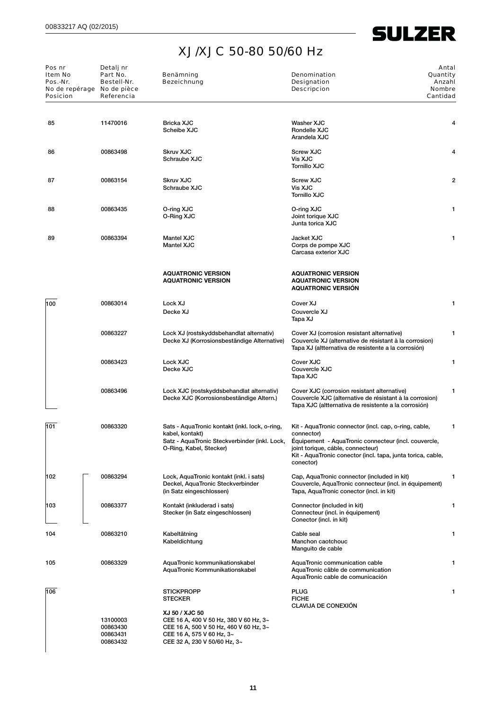| Pos nr<br>Item No<br>Pos.-Nr.<br>No de repérage<br><b>Posicion</b> | Detalj nr<br>Part No.<br>Bestell-Nr.<br>No de pièce<br>Referencia | Benämning<br><b>Bezeichnung</b>                                                                                                                                 | <b>Denomination</b><br>Quantity<br>Designation<br><b>Descripcion</b><br><b>Nombre</b><br>Cantidad                                                                                                                                            | Antal<br>Anzahl |
|--------------------------------------------------------------------|-------------------------------------------------------------------|-----------------------------------------------------------------------------------------------------------------------------------------------------------------|----------------------------------------------------------------------------------------------------------------------------------------------------------------------------------------------------------------------------------------------|-----------------|
| 85                                                                 | 11470016                                                          | <b>Bricka XJC</b><br>Scheibe XJC                                                                                                                                | Washer XJC<br>Rondelle XJC<br>Arandela XJC                                                                                                                                                                                                   | 4               |
| 86                                                                 | 00863498                                                          | <b>Skruv XJC</b><br>Schraube XJC                                                                                                                                | <b>Screw XJC</b><br>Vis XJC<br><b>Tornillo XJC</b>                                                                                                                                                                                           | 4               |
| 87                                                                 | 00863154                                                          | <b>Skruv XJC</b><br>Schraube XJC                                                                                                                                | <b>Screw XJC</b><br>Vis XJC<br><b>Tornillo XJC</b>                                                                                                                                                                                           | 2               |
| 88                                                                 | 00863435                                                          | O-ring XJC<br>O-Ring XJC                                                                                                                                        | O-ring XJC<br>Joint torique XJC<br>Junta torica XJC                                                                                                                                                                                          | 1               |
| 89                                                                 | 00863394                                                          | <b>Mantel XJC</b><br><b>Mantel XJC</b>                                                                                                                          | Jacket XJC<br>Corps de pompe XJC<br>Carcasa exterior XJC                                                                                                                                                                                     | 1               |
|                                                                    |                                                                   | <b>AQUATRONIC VERSION</b><br><b>AQUATRONIC VERSION</b>                                                                                                          | <b>AQUATRONIC VERSION</b><br><b>AQUATRONIC VERSION</b><br><b>AQUATRONIC VERSION</b>                                                                                                                                                          |                 |
| 100                                                                | 00863014                                                          | Lock XJ<br>Decke XJ                                                                                                                                             | Cover XJ<br>Couvercle XJ<br>Tapa XJ                                                                                                                                                                                                          | 1               |
|                                                                    | 00863227                                                          | Lock XJ (rostskyddsbehandlat alternativ)<br>Decke XJ (Korrosionsbeständige Alternative)                                                                         | Cover XJ (corrosion resistant alternative)<br>Couvercle XJ (alternative de résistant à la corrosion)<br>Tapa XJ (altternativa de resistente a la corrosión)                                                                                  | 1               |
|                                                                    | 00863423                                                          | Lock XJC<br>Decke XJC                                                                                                                                           | Cover XJC<br>Couvercle XJC<br>Tapa XJC                                                                                                                                                                                                       | 1               |
|                                                                    | 00863496                                                          | Lock XJC (rostskyddsbehandlat alternativ)<br>Decke XJC (Korrosionsbeständige Altern.)                                                                           | Cover XJC (corrosion resistant alternative)<br>Couvercle XJC (alternative de résistant à la corrosion)<br>Tapa XJC (altternativa de resistente a la corrosión)                                                                               | 1               |
| 101                                                                | 00863320                                                          | Sats - AquaTronic kontakt (inkl. lock, o-ring,<br>kabel, kontakt)<br>Satz - AquaTronic Steckverbinder (inkl. Lock,<br>O-Ring, Kabel, Stecker)                   | Kit - AquaTronic connector (incl. cap, o-ring, cable,<br>connector)<br>Equipement - AquaTronic connecteur (incl. couvercle,<br>joint torique, cáble, connecteur)<br>Kit - AquaTronic conector (incl. tapa, junta torica, cable,<br>conector) | 1               |
| 102                                                                | 00863294                                                          | Lock, AquaTronic kontakt (inkl. i sats)<br>Deckel, AquaTronic Steckverbinder<br>(in Satz eingeschlossen)                                                        | Cap, AquaTronic connector (included in kit)<br>Couvercle, AquaTronic connecteur (incl. in équipement)<br>Tapa, AquaTronic conector (incl. in kit)                                                                                            | 1               |
| 103                                                                | 00863377                                                          | Kontakt (inkluderad i sats)<br>Stecker (in Satz eingeschlossen)                                                                                                 | Connector (included in kit)<br>Connecteur (incl. in équipement)<br>Conector (incl. in kit)                                                                                                                                                   | 1               |
| 104                                                                | 00863210                                                          | Kabeltätning<br>Kabeldichtung                                                                                                                                   | Cable seal<br>Manchon caotchouc<br>Manguito de cable                                                                                                                                                                                         | 1               |
| 105                                                                | 00863329                                                          | AquaTronic kommunikationskabel<br>AquaTronic Kommunikationskabel                                                                                                | AquaTronic communication cable<br>AquaTronic câble de communication<br>AquaTronic cable de comunicación                                                                                                                                      | 1               |
| 106                                                                |                                                                   | <b>STICKPROPP</b><br><b>STECKER</b>                                                                                                                             | <b>PLUG</b><br><b>FICHE</b><br><b>CLAVIJA DE CONEXIÓN</b>                                                                                                                                                                                    |                 |
|                                                                    | 13100003<br>00863430<br>00863431<br>00863432                      | XJ 50 / XJC 50<br>CEE 16 A, 400 V 50 Hz, 380 V 60 Hz, 3~<br>CEE 16 A, 500 V 50 Hz, 460 V 60 Hz, 3~<br>CEE 16 A, 575 V 60 Hz, 3~<br>CEE 32 A, 230 V 50/60 Hz, 3~ |                                                                                                                                                                                                                                              |                 |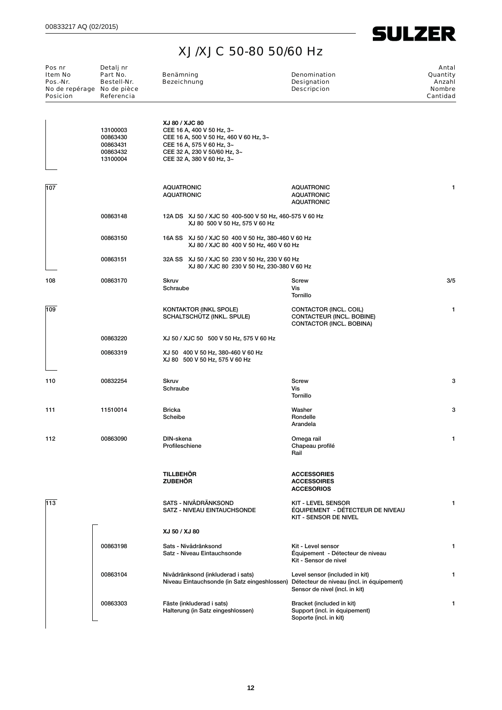

| Pos nr<br>Item No<br>Pos.-Nr.<br>No de repérage No de pièce<br><b>Posicion</b> | Detalj nr<br>Part No.<br>Bestell-Nr.<br>Referencia       | Benämning<br><b>Bezeichnung</b>        |                                                                                                                                                               | Denomination<br>Designation<br><b>Descripcion</b>                                                                                                          | Antal<br>Quantity<br>Anzahl<br><b>Nombre</b><br>Cantidad |
|--------------------------------------------------------------------------------|----------------------------------------------------------|----------------------------------------|---------------------------------------------------------------------------------------------------------------------------------------------------------------|------------------------------------------------------------------------------------------------------------------------------------------------------------|----------------------------------------------------------|
|                                                                                | 13100003<br>00863430<br>00863431<br>00863432<br>13100004 | XJ 80 / XJC 80                         | CEE 16 A, 400 V 50 Hz, 3~<br>CEE 16 A, 500 V 50 Hz, 460 V 60 Hz, 3~<br>CEE 16 A, 575 V 60 Hz, 3~<br>CEE 32 A, 230 V 50/60 Hz, 3~<br>CEE 32 A, 380 V 60 Hz, 3~ |                                                                                                                                                            |                                                          |
| 107                                                                            |                                                          | <b>AQUATRONIC</b><br><b>AQUATRONIC</b> |                                                                                                                                                               | <b>AQUATRONIC</b><br><b>AQUATRONIC</b><br><b>AQUATRONIC</b>                                                                                                | 1                                                        |
|                                                                                | 00863148                                                 |                                        | 12A DS XJ 50 / XJC 50 400-500 V 50 Hz, 460-575 V 60 Hz<br>XJ 80 500 V 50 Hz, 575 V 60 Hz                                                                      |                                                                                                                                                            |                                                          |
|                                                                                | 00863150                                                 |                                        | 16A SS XJ 50 / XJC 50 400 V 50 Hz, 380-460 V 60 Hz<br>XJ 80 / XJC 80 400 V 50 Hz, 460 V 60 Hz                                                                 |                                                                                                                                                            |                                                          |
|                                                                                | 00863151                                                 |                                        | 32A SS XJ 50 / XJC 50 230 V 50 Hz, 230 V 60 Hz<br>XJ 80 / XJC 80 230 V 50 Hz, 230-380 V 60 Hz                                                                 |                                                                                                                                                            |                                                          |
| 108                                                                            | 00863170                                                 | Skruv<br>Schraube                      |                                                                                                                                                               | Screw<br>Vis<br>Tornillo                                                                                                                                   | 3/5                                                      |
| 109                                                                            |                                                          |                                        | <b>KONTAKTOR (INKL SPOLE)</b><br>SCHALTSCHUTZ (INKL. SPULE)                                                                                                   | CONTACTOR (INCL. COIL)<br>CONTACTEUR (INCL. BOBINE)<br>CONTACTOR (INCL. BOBINA)                                                                            | 1                                                        |
|                                                                                | 00863220                                                 |                                        | XJ 50 / XJC 50 500 V 50 Hz, 575 V 60 Hz                                                                                                                       |                                                                                                                                                            |                                                          |
|                                                                                | 00863319                                                 |                                        | XJ 50 400 V 50 Hz, 380-460 V 60 Hz<br>XJ 80 500 V 50 Hz, 575 V 60 Hz                                                                                          |                                                                                                                                                            |                                                          |
| 110                                                                            | 00832254                                                 | <b>Skruv</b><br>Schraube               |                                                                                                                                                               | <b>Screw</b><br>Vis<br>Tornillo                                                                                                                            | 3                                                        |
| 111                                                                            | 11510014                                                 | <b>Bricka</b><br>Scheibe               |                                                                                                                                                               | Washer<br>Rondelle<br>Arandela                                                                                                                             | 3                                                        |
| 112                                                                            | 00863090                                                 | DIN-skena<br>Profileschiene            |                                                                                                                                                               | Omega rail<br>Chapeau profilé<br>Rail                                                                                                                      | 1                                                        |
|                                                                                |                                                          | <b>TILLBEHÖR</b><br><b>ZUBEHÖR</b>     |                                                                                                                                                               | <b>ACCESSORIES</b><br><b>ACCESSOIRES</b><br><b>ACCESORIOS</b>                                                                                              |                                                          |
| 113                                                                            |                                                          |                                        | SATS - NIVÅDRÄNKSOND<br>SATZ - NIVEAU EINTAUCHSONDE                                                                                                           | <b>KIT - LEVEL SENSOR</b><br>ÉQUIPEMENT - DÉTECTEUR DE NIVEAU<br>KIT - SENSOR DE NIVEL                                                                     | 1                                                        |
|                                                                                |                                                          | XJ 50 / XJ 80                          |                                                                                                                                                               |                                                                                                                                                            |                                                          |
|                                                                                | 00863198                                                 |                                        | Sats - Nivådränksond<br>Satz - Niveau Eintauchsonde                                                                                                           | Kit - Level sensor<br>Équipement - Détecteur de niveau<br>Kit - Sensor de nivel                                                                            | 1                                                        |
|                                                                                | 00863104                                                 |                                        | Nivådränksond (inkluderad i sats)                                                                                                                             | Level sensor (included in kit)<br>Niveau Eintauchsonde (in Satz eingeshlossen) Détecteur de niveau (incl. in équipement)<br>Sensor de nivel (incl. in kit) | 1                                                        |
|                                                                                | 00863303                                                 |                                        | Fäste (inkluderad i sats)<br>Halterung (in Satz eingeshlossen)                                                                                                | Bracket (included in kit)<br>Support (incl. in équipement)<br>Soporte (incl. in kit)                                                                       | 1                                                        |
|                                                                                |                                                          |                                        |                                                                                                                                                               |                                                                                                                                                            |                                                          |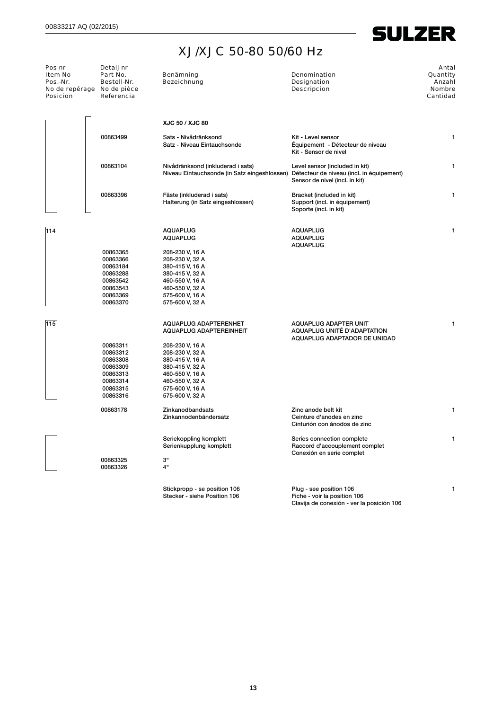### XJ/XJC 50-80 50/60 Hz

| Pos nr<br>Item No<br>Pos.-Nr.<br><b>Posicion</b> | Detalj nr<br>Part No.<br>Bestell-Nr.<br>No de repérage No de pièce<br>Referencia | Benämning<br>Bezeichnung                                                                                                    | Denomination<br><b>Designation</b><br><b>Descripcion</b>                                  | Antal<br>Quantity<br>Anzahl<br><b>Nombre</b><br>Cantidad |
|--------------------------------------------------|----------------------------------------------------------------------------------|-----------------------------------------------------------------------------------------------------------------------------|-------------------------------------------------------------------------------------------|----------------------------------------------------------|
|                                                  |                                                                                  | XJC 50 / XJC 80                                                                                                             |                                                                                           |                                                          |
|                                                  | 00863499                                                                         | Sats - Nivådränksond<br>Satz - Niveau Eintauchsonde                                                                         | Kit - Level sensor<br>Équipement - Détecteur de niveau<br>Kit - Sensor de nivel           | 1                                                        |
|                                                  | 00863104                                                                         | Nivådränksond (inkluderad i sats)<br>Niveau Eintauchsonde (in Satz eingeshlossen) Détecteur de niveau (incl. in équipement) | Level sensor (included in kit)<br>Sensor de nivel (incl. in kit)                          | 1                                                        |
|                                                  | 00863396                                                                         | Fäste (inkluderad i sats)<br>Halterung (in Satz eingeshlossen)                                                              | Bracket (included in kit)<br>Support (incl. in équipement)<br>Soporte (incl. in kit)      | 1                                                        |
| 114                                              |                                                                                  | <b>AQUAPLUG</b><br><b>AQUAPLUG</b>                                                                                          | <b>AQUAPLUG</b><br><b>AQUAPLUG</b>                                                        | 1                                                        |
|                                                  | 00863365                                                                         | 208-230 V, 16 A                                                                                                             | <b>AQUAPLUG</b>                                                                           |                                                          |
|                                                  | 00863366                                                                         | 208-230 V, 32 A                                                                                                             |                                                                                           |                                                          |
|                                                  | 00863184                                                                         | 380-415 V, 16 A                                                                                                             |                                                                                           |                                                          |
|                                                  | 00863288<br>00863542                                                             | 380-415 V, 32 A<br>460-550 V, 16 A                                                                                          |                                                                                           |                                                          |
|                                                  | 00863543                                                                         | 460-550 V, 32 A                                                                                                             |                                                                                           |                                                          |
|                                                  | 00863369                                                                         | 575-600 V, 16 A                                                                                                             |                                                                                           |                                                          |
|                                                  | 00863370                                                                         | 575-600 V, 32 A                                                                                                             |                                                                                           |                                                          |
| 115                                              |                                                                                  | AQUAPLUG ADAPTERENHET                                                                                                       | AQUAPLUG ADAPTER UNIT                                                                     | 1                                                        |
|                                                  |                                                                                  | AQUAPLUG ADAPTEREINHEIT                                                                                                     | AQUAPLUG UNITÉ D'ADAPTATION<br>AQUAPLUG ADAPTADOR DE UNIDAD                               |                                                          |
|                                                  | 00863311                                                                         | 208-230 V, 16 A                                                                                                             |                                                                                           |                                                          |
|                                                  | 00863312                                                                         | 208-230 V, 32 A                                                                                                             |                                                                                           |                                                          |
|                                                  | 00863308                                                                         | 380-415 V, 16 A                                                                                                             |                                                                                           |                                                          |
|                                                  | 00863309                                                                         | 380-415 V, 32 A                                                                                                             |                                                                                           |                                                          |
|                                                  | 00863313                                                                         | 460-550 V, 16 A                                                                                                             |                                                                                           |                                                          |
|                                                  | 00863314                                                                         | 460-550 V, 32 A                                                                                                             |                                                                                           |                                                          |
|                                                  | 00863315                                                                         | 575-600 V, 16 A                                                                                                             |                                                                                           |                                                          |
|                                                  | 00863316                                                                         | 575-600 V, 32 A                                                                                                             |                                                                                           |                                                          |
|                                                  | 00863178                                                                         | Zinkanodbandsats                                                                                                            | Zinc anode belt kit                                                                       | 1                                                        |
|                                                  |                                                                                  | Zinkannodenbändersatz                                                                                                       | Ceinture d'anodes en zinc<br>Cinturión con ánodos de zinc                                 |                                                          |
|                                                  |                                                                                  |                                                                                                                             |                                                                                           |                                                          |
|                                                  |                                                                                  | Seriekoppling komplett<br>Serienkupplung komplett                                                                           | Series connection complete<br>Raccord d'accouplement complet<br>Conexión en serie complet | 1                                                        |
|                                                  | 00863325                                                                         | З"                                                                                                                          |                                                                                           |                                                          |
|                                                  | 00863326                                                                         | 4"                                                                                                                          |                                                                                           |                                                          |
|                                                  |                                                                                  | Stickpropp - se position 106                                                                                                | Plug - see position 106                                                                   | 1                                                        |
|                                                  |                                                                                  | Stecker - siehe Position 106                                                                                                | Fiche - voir la position 106                                                              |                                                          |

Clavija de conexión - ver la posición 106